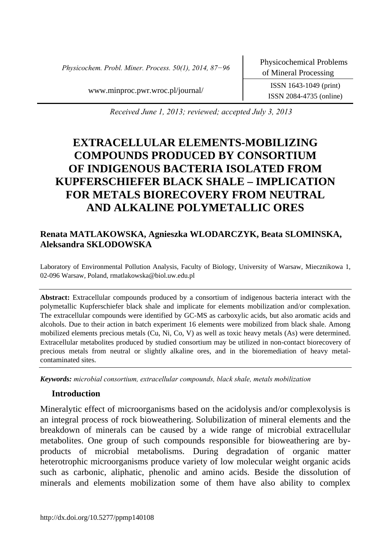*Physicochem. Probl. Miner. Process. 50(1), 2014, 87−96* Physicochemical Problems

of Mineral Processing

www.minproc.pwr.wroc.pl/journal/ ISSN 1643-1049 (print)

ISSN 2084-4735 (online)

*Received June 1, 2013; reviewed; accepted July 3, 2013* 

# **EXTRACELLULAR ELEMENTS-MOBILIZING COMPOUNDS PRODUCED BY CONSORTIUM OF INDIGENOUS BACTERIA ISOLATED FROM KUPFERSCHIEFER BLACK SHALE – IMPLICATION FOR METALS BIORECOVERY FROM NEUTRAL AND ALKALINE POLYMETALLIC ORES**

## **Renata MATLAKOWSKA, Agnieszka WLODARCZYK, Beata SLOMINSKA, Aleksandra SKLODOWSKA**

Laboratory of Environmental Pollution Analysis, Faculty of Biology, University of Warsaw, Miecznikowa 1, 02-096 Warsaw, Poland, rmatlakowska@biol.uw.edu.pl

**Abstract:** Extracellular compounds produced by a consortium of indigenous bacteria interact with the polymetallic Kupferschiefer black shale and implicate for elements mobilization and/or complexation. The extracellular compounds were identified by GC-MS as carboxylic acids, but also aromatic acids and alcohols. Due to their action in batch experiment 16 elements were mobilized from black shale. Among mobilized elements precious metals (Cu, Ni, Co, V) as well as toxic heavy metals (As) were determined. Extracellular metabolites produced by studied consortium may be utilized in non-contact biorecovery of precious metals from neutral or slightly alkaline ores, and in the bioremediation of heavy metalcontaminated sites.

*Keywords: microbial consortium, extracellular compounds, black shale, metals mobilization*

#### **Introduction**

Mineralytic effect of microorganisms based on the acidolysis and/or complexolysis is an integral process of rock bioweathering. Solubilization of mineral elements and the breakdown of minerals can be caused by a wide range of microbial extracellular metabolites. One group of such compounds responsible for bioweathering are byproducts of microbial metabolisms. During degradation of organic matter heterotrophic microorganisms produce variety of low molecular weight organic acids such as carbonic, aliphatic, phenolic and amino acids. Beside the dissolution of minerals and elements mobilization some of them have also ability to complex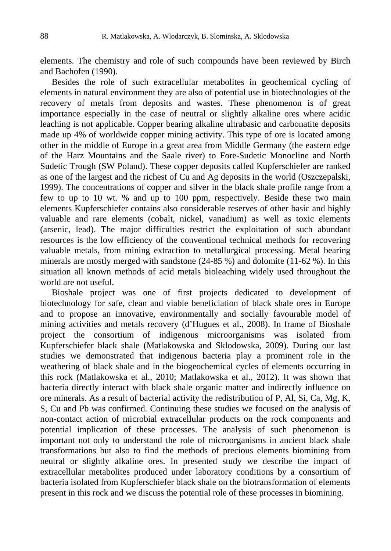elements. The chemistry and role of such compounds have been reviewed by Birch and Bachofen (1990).

Besides the role of such extracellular metabolites in geochemical cycling of elements in natural environment they are also of potential use in biotechnologies of the recovery of metals from deposits and wastes. These phenomenon is of great importance especially in the case of neutral or slightly alkaline ores where acidic leaching is not applicable. Copper bearing alkaline ultrabasic and carbonatite deposits made up 4% of worldwide copper mining activity. This type of ore is located among other in the middle of Europe in a great area from Middle Germany (the eastern edge of the Harz Mountains and the Saale river) to Fore-Sudetic Monocline and North Sudetic Trough (SW Poland). These copper deposits called Kupferschiefer are ranked as one of the largest and the richest of Cu and Ag deposits in the world (Oszczepalski, 1999). The concentrations of copper and silver in the black shale profile range from a few to up to 10 wt. % and up to 100 ppm, respectively. Beside these two main elements Kupferschiefer contains also considerable reserves of other basic and highly valuable and rare elements (cobalt, nickel, vanadium) as well as toxic elements (arsenic, lead). The major difficulties restrict the exploitation of such abundant resources is the low efficiency of the conventional technical methods for recovering valuable metals, from mining extraction to metallurgical processing. Metal bearing minerals are mostly merged with sandstone (24-85 %) and dolomite (11-62 %). In this situation all known methods of acid metals bioleaching widely used throughout the world are not useful.

Bioshale project was one of first projects dedicated to development of biotechnology for safe, clean and viable beneficiation of black shale ores in Europe and to propose an innovative, environmentally and socially favourable model of mining activities and metals recovery (d'Hugues et al., 2008). In frame of Bioshale project the consortium of indigenous microorganisms was isolated from Kupferschiefer black shale (Matlakowska and Sklodowska, 2009). During our last studies we demonstrated that indigenous bacteria play a prominent role in the weathering of black shale and in the biogeochemical cycles of elements occurring in this rock (Matlakowska et al., 2010; Matlakowska et al., 2012). It was shown that bacteria directly interact with black shale organic matter and indirectly influence on ore minerals. As a result of bacterial activity the redistribution of P, Al, Si, Ca, Mg, K, S, Cu and Pb was confirmed. Continuing these studies we focused on the analysis of non-contact action of microbial extracellular products on the rock components and potential implication of these processes. The analysis of such phenomenon is important not only to understand the role of microorganisms in ancient black shale transformations but also to find the methods of precious elements biomining from neutral or slightly alkaline ores. In presented study we describe the impact of extracellular metabolites produced under laboratory conditions by a consortium of bacteria isolated from Kupferschiefer black shale on the biotransformation of elements present in this rock and we discuss the potential role of these processes in biomining.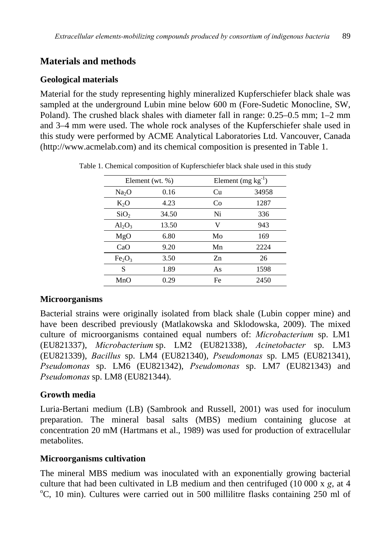# **Materials and methods**

#### **Geological materials**

Material for the study representing highly mineralized Kupferschiefer black shale was sampled at the underground Lubin mine below 600 m (Fore-Sudetic Monocline, SW, Poland). The crushed black shales with diameter fall in range: 0.25–0.5 mm; 1–2 mm and 3–4 mm were used. The whole rock analyses of the Kupferschiefer shale used in this study were performed by ACME Analytical Laboratories Ltd. Vancouver, Canada (http://www.acmelab.com) and its chemical composition is presented in Table 1.

| Element (wt. $%$ )             |       | Element $(mg kg^{-1})$ |       |  |
|--------------------------------|-------|------------------------|-------|--|
| Na <sub>2</sub> O              | 0.16  | Cu                     | 34958 |  |
| $K_2O$                         | 4.23  | Co                     | 1287  |  |
| SiO <sub>2</sub>               | 34.50 | Ni                     | 336   |  |
| $Al_2O_3$                      | 13.50 | V                      | 943   |  |
| MgO                            | 6.80  | Mo                     | 169   |  |
| CaO                            | 9.20  | Mn                     | 2224  |  |
| Fe <sub>2</sub> O <sub>3</sub> | 3.50  | Zn                     | 26    |  |
| S                              | 1.89  | As                     | 1598  |  |
| MnO                            | 0.29  | Fe                     | 2450  |  |

Table 1. Chemical composition of Kupferschiefer black shale used in this study

## **Microorganisms**

Bacterial strains were originally isolated from black shale (Lubin copper mine) and have been described previously (Matlakowska and Sklodowska, 2009). The mixed culture of microorganisms contained equal numbers of: *Microbacterium* sp. LM1 (EU821337), *Microbacterium* sp. LM2 (EU821338), *Acinetobacter* sp. LM3 (EU821339), *Bacillus* sp. LM4 (EU821340), *Pseudomonas* sp. LM5 (EU821341), *Pseudomonas* sp. LM6 (EU821342), *Pseudomonas* sp. LM7 (EU821343) and *Pseudomonas* sp. LM8 (EU821344).

## **Growth media**

Luria-Bertani medium (LB) (Sambrook and Russell, 2001) was used for inoculum preparation. The mineral basal salts (MBS) medium containing glucose at concentration 20 mM (Hartmans et al., 1989) was used for production of extracellular metabolites.

#### **Microorganisms cultivation**

The mineral MBS medium was inoculated with an exponentially growing bacterial culture that had been cultivated in LB medium and then centrifuged  $(10\,000 \times g, \text{ at } 4$ C, 10 min). Cultures were carried out in 500 millilitre flasks containing 250 ml of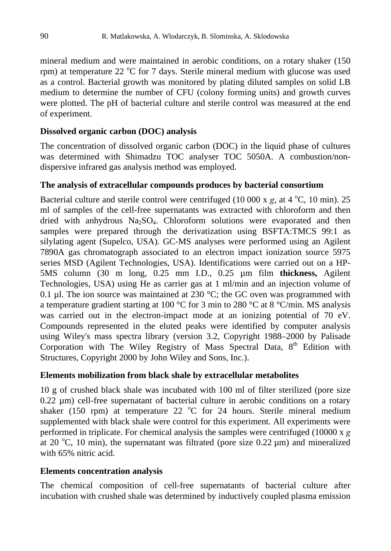mineral medium and were maintained in aerobic conditions, on a rotary shaker (150 rpm) at temperature 22  $\rm{^{\circ}C}$  for 7 days. Sterile mineral medium with glucose was used as a control. Bacterial growth was monitored by plating diluted samples on solid LB medium to determine the number of CFU (colony forming units) and growth curves were plotted. The pH of bacterial culture and sterile control was measured at the end of experiment.

#### **Dissolved organic carbon (DOC) analysis**

The concentration of dissolved organic carbon (DOC) in the liquid phase of cultures was determined with Shimadzu TOC analyser TOC 5050A. A combustion/nondispersive infrared gas analysis method was employed.

#### **The analysis of extracellular compounds produces by bacterial consortium**

Bacterial culture and sterile control were centrifuged  $(10\ 000 \times g, \text{ at } 4 \degree C, 10 \text{ min})$ . 25 ml of samples of the cell-free supernatants was extracted with chloroform and then dried with anhydrous  $Na<sub>2</sub>SO<sub>4</sub>$ . Chloroform solutions were evaporated and then samples were prepared through the derivatization using BSFTA:TMCS 99:1 as silylating agent (Supelco, USA). GC-MS analyses were performed using an Agilent 7890A gas chromatograph associated to an electron impact ionization source 5975 series MSD (Agilent Technologies, USA). Identifications were carried out on a HP-5MS column (30 m long, 0.25 mm I.D., 0.25 µm film **thickness,** Agilent Technologies, USA) using He as carrier gas at 1 ml/min and an injection volume of 0.1 µl. The ion source was maintained at 230  $^{\circ}$ C; the GC oven was programmed with a temperature gradient starting at 100 °C for 3 min to 280 °C at 8 °C/min. MS analysis was carried out in the electron-impact mode at an ionizing potential of 70 eV. Compounds represented in the eluted peaks were identified by computer analysis using Wiley's mass spectra library (version 3.2, Copyright 1988–2000 by Palisade Corporation with The Wiley Registry of Mass Spectral Data, 8<sup>th</sup> Edition with Structures, Copyright 2000 by John Wiley and Sons, Inc.).

#### **Elements mobilization from black shale by extracellular metabolites**

10 g of crushed black shale was incubated with 100 ml of filter sterilized (pore size 0.22 µm) cell-free supernatant of bacterial culture in aerobic conditions on a rotary shaker (150 rpm) at temperature 22  $^{\circ}$ C for 24 hours. Sterile mineral medium supplemented with black shale were control for this experiment. All experiments were performed in triplicate. For chemical analysis the samples were centrifuged (10000 x *g* at 20 °C, 10 min), the supernatant was filtrated (pore size  $0.22 \mu m$ ) and mineralized with 65% nitric acid.

## **Elements concentration analysis**

The chemical composition of cell-free supernatants of bacterial culture after incubation with crushed shale was determined by inductively coupled plasma emission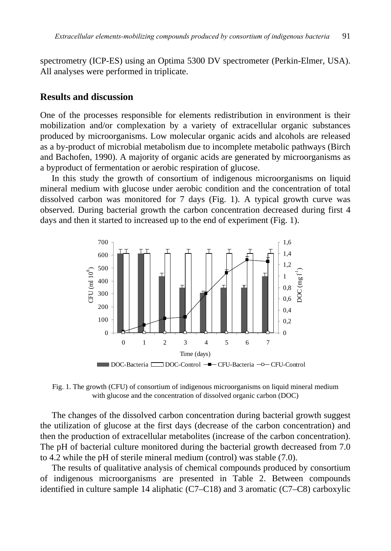spectrometry (ICP-ES) using an Optima 5300 DV spectrometer (Perkin-Elmer, USA). All analyses were performed in triplicate.

#### **Results and discussion**

One of the processes responsible for elements redistribution in environment is their mobilization and/or complexation by a variety of extracellular organic substances produced by microorganisms. Low molecular organic acids and alcohols are released as a by-product of microbial metabolism due to incomplete metabolic pathways (Birch and Bachofen, 1990). A majority of organic acids are generated by microorganisms as a byproduct of fermentation or aerobic respiration of glucose.

In this study the growth of consortium of indigenous microorganisms on liquid mineral medium with glucose under aerobic condition and the concentration of total dissolved carbon was monitored for 7 days (Fig. 1). A typical growth curve was observed. During bacterial growth the carbon concentration decreased during first 4 days and then it started to increased up to the end of experiment (Fig. 1).



Fig. 1. The growth (CFU) of consortium of indigenous microorganisms on liquid mineral medium with glucose and the concentration of dissolved organic carbon (DOC)

The changes of the dissolved carbon concentration during bacterial growth suggest the utilization of glucose at the first days (decrease of the carbon concentration) and then the production of extracellular metabolites (increase of the carbon concentration). The pH of bacterial culture monitored during the bacterial growth decreased from 7.0 to 4.2 while the pH of sterile mineral medium (control) was stable (7.0).

The results of qualitative analysis of chemical compounds produced by consortium of indigenous microorganisms are presented in Table 2. Between compounds identified in culture sample 14 aliphatic (C7–C18) and 3 aromatic (C7–C8) carboxylic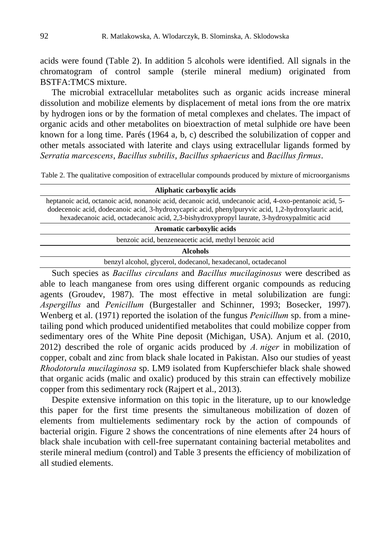acids were found (Table 2). In addition 5 alcohols were identified. All signals in the chromatogram of control sample (sterile mineral medium) originated from BSTFA:TMCS mixture.

The microbial extracellular metabolites such as organic acids increase mineral dissolution and mobilize elements by displacement of metal ions from the ore matrix by hydrogen ions or by the formation of metal complexes and chelates. The impact of organic acids and other metabolites on bioextraction of metal sulphide ore have been known for a long time. Parés (1964 a, b, c) described the solubilization of copper and other metals associated with laterite and clays using extracellular ligands formed by *Serratia marcescens*, *Bacillus subtilis*, *Bacillus sphaericus* and *Bacillus firmus*.

Table 2. The qualitative composition of extracellular compounds produced by mixture of microorganisms

| Aliphatic carboxylic acids                                                                                                                                                                                                                                                                                  |  |  |  |  |  |
|-------------------------------------------------------------------------------------------------------------------------------------------------------------------------------------------------------------------------------------------------------------------------------------------------------------|--|--|--|--|--|
| heptanoic acid, octanoic acid, nonanoic acid, decanoic acid, undecanoic acid, 4-oxo-pentanoic acid, 5-<br>dodecenoic acid, dodecanoic acid, 3-hydroxycapric acid, phenylpuryvic acid, 1,2-hydroxylauric acid,<br>hexadecanoic acid, octadecanoic acid, 2,3-bishydroxypropyl laurate, 3-hydroxypalmitic acid |  |  |  |  |  |
| Aromatic carboxylic acids                                                                                                                                                                                                                                                                                   |  |  |  |  |  |
| benzoic acid, benzeneacetic acid, methyl benzoic acid                                                                                                                                                                                                                                                       |  |  |  |  |  |
| <b>Alcohols</b>                                                                                                                                                                                                                                                                                             |  |  |  |  |  |
| benzyl alcohol, glycerol, dodecanol, hexadecanol, octadecanol                                                                                                                                                                                                                                               |  |  |  |  |  |
| $\Omega$ and the set of $\Omega$ and $\Omega$ are set of $\Omega$ and $\Omega$ and $\Omega$ are set of $\Omega$ and $\Omega$ and $\Omega$ and $\Omega$ are set of $\Omega$ and $\Omega$                                                                                                                     |  |  |  |  |  |

Such species as *Bacillus circulans* and *Bacillus mucilaginosus* were described as able to leach manganese from ores using different organic compounds as reducing agents (Groudev, 1987). The most effective in metal solubilization are fungi: *Aspergillus* and *Penicillum* (Burgestaller and Schinner, 1993; Bosecker, 1997). Wenberg et al. (1971) reported the isolation of the fungus *Penicillum* sp. from a minetailing pond which produced unidentified metabolites that could mobilize copper from sedimentary ores of the White Pine deposit (Michigan, USA). Anjum et al. (2010, 2012) described the role of organic acids produced by *A. niger* in mobilization of copper, cobalt and zinc from black shale located in Pakistan. Also our studies of yeast *Rhodotorula mucilaginosa* sp. LM9 isolated from Kupferschiefer black shale showed that organic acids (malic and oxalic) produced by this strain can effectively mobilize copper from this sedimentary rock (Rajpert et al., 2013).

Despite extensive information on this topic in the literature, up to our knowledge this paper for the first time presents the simultaneous mobilization of dozen of elements from multielements sedimentary rock by the action of compounds of bacterial origin. Figure 2 shows the concentrations of nine elements after 24 hours of black shale incubation with cell-free supernatant containing bacterial metabolites and sterile mineral medium (control) and Table 3 presents the efficiency of mobilization of all studied elements.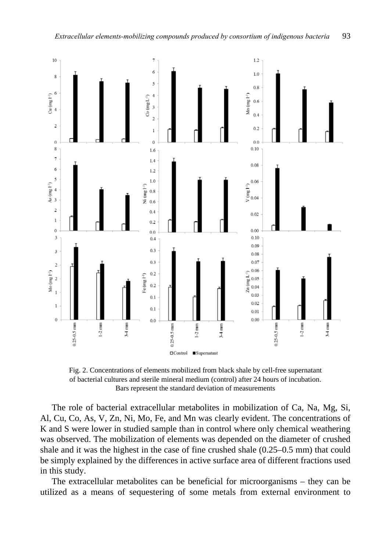

Fig. 2. Concentrations of elements mobilized from black shale by cell-free supernatant of bacterial cultures and sterile mineral medium (control) after 24 hours of incubation. Bars represent the standard deviation of measurements

The role of bacterial extracellular metabolites in mobilization of Ca, Na, Mg, Si, Al, Cu, Co, As, V, Zn, Ni, Mo, Fe, and Mn was clearly evident. The concentrations of K and S were lower in studied sample than in control where only chemical weathering was observed. The mobilization of elements was depended on the diameter of crushed shale and it was the highest in the case of fine crushed shale (0.25–0.5 mm) that could be simply explained by the differences in active surface area of different fractions used in this study.

The extracellular metabolites can be beneficial for microorganisms – they can be utilized as a means of sequestering of some metals from external environment to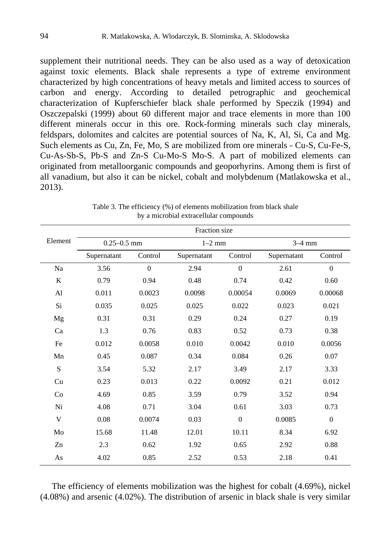supplement their nutritional needs. They can be also used as a way of detoxication against toxic elements. Black shale represents a type of extreme environment characterized by high concentrations of heavy metals and limited access to sources of carbon and energy. According to detailed petrographic and geochemical characterization of Kupferschiefer black shale performed by Speczik (1994) and Oszczepalski (1999) about 60 different major and trace elements in more than 100 different minerals occur in this ore. Rock-forming minerals such clay minerals, feldspars, dolomites and calcites are potential sources of Na, K, Al, Si, Ca and Mg. Such elements as Cu, Zn, Fe, Mo, S are mobilized from ore minerals - Cu-S, Cu-Fe-S, Cu-As-Sb-S, Pb-S and Zn-S Cu-Mo-S Mo-S. A part of mobilized elements can originated from metalloorganic compounds and geoporhyrins. Among them is first of all vanadium, but also it can be nickel, cobalt and molybdenum (Matlakowska et al., 2013).

|           | Fraction size   |          |             |          |             |          |  |  |
|-----------|-----------------|----------|-------------|----------|-------------|----------|--|--|
| Element   | $0.25 - 0.5$ mm |          | $1-2$ mm    |          | $3-4$ mm    |          |  |  |
|           | Supernatant     | Control  | Supernatant | Control  | Supernatant | Control  |  |  |
| Na        | 3.56            | $\theta$ | 2.94        | $\theta$ | 2.61        | $\theta$ |  |  |
| K         | 0.79            | 0.94     | 0.48        | 0.74     | 0.42        | 0.60     |  |  |
| Al        | 0.011           | 0.0023   | 0.0098      | 0.00054  | 0.0069      | 0.00068  |  |  |
| Si        | 0.035           | 0.025    | 0.025       | 0.022    | 0.023       | 0.021    |  |  |
| Mg        | 0.31            | 0.31     | 0.29        | 0.24     | 0.27        | 0.19     |  |  |
| Ca        | 1.3             | 0.76     | 0.83        | 0.52     | 0.73        | 0.38     |  |  |
| Fe        | 0.012           | 0.0058   | 0.010       | 0.0042   | 0.010       | 0.0056   |  |  |
| Mn        | 0.45            | 0.087    | 0.34        | 0.084    | 0.26        | 0.07     |  |  |
| ${\bf S}$ | 3.54            | 5.32     | 2.17        | 3.49     | 2.17        | 3.33     |  |  |
| Cu        | 0.23            | 0.013    | 0.22        | 0.0092   | 0.21        | 0.012    |  |  |
| Co        | 4.69            | 0.85     | 3.59        | 0.79     | 3.52        | 0.94     |  |  |
| Ni        | 4.08            | 0.71     | 3.04        | 0.61     | 3.03        | 0.73     |  |  |
| V         | 0.08            | 0.0074   | 0.03        | $\theta$ | 0.0085      | $\Omega$ |  |  |
| Mo        | 15.68           | 11.48    | 12.01       | 10.11    | 8.34        | 6.92     |  |  |
| Zn        | 2.3             | 0.62     | 1.92        | 0.65     | 2.92        | 0.88     |  |  |
| As        | 4.02            | 0.85     | 2.52        | 0.53     | 2.18        | 0.41     |  |  |

Table 3. The efficiency (%) of elements mobilization from black shale by a microbial extracellular compounds

The efficiency of elements mobilization was the highest for cobalt (4.69%), nickel (4.08%) and arsenic (4.02%). The distribution of arsenic in black shale is very similar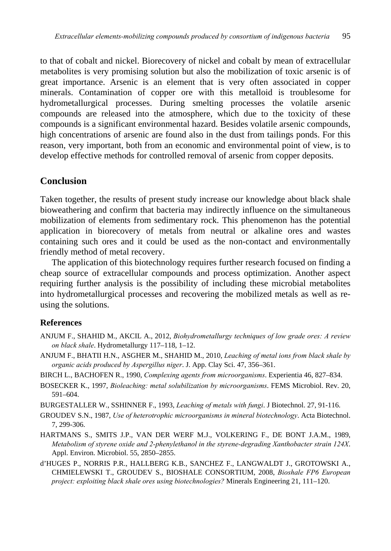to that of cobalt and nickel. Biorecovery of nickel and cobalt by mean of extracellular metabolites is very promising solution but also the mobilization of toxic arsenic is of great importance. Arsenic is an element that is very often associated in copper minerals. Contamination of copper ore with this metalloid is troublesome for hydrometallurgical processes. During smelting processes the volatile arsenic compounds are released into the atmosphere, which due to the toxicity of these compounds is a significant environmental hazard. Besides volatile arsenic compounds, high concentrations of arsenic are found also in the dust from tailings ponds. For this reason, very important, both from an economic and environmental point of view, is to develop effective methods for controlled removal of arsenic from copper deposits.

## **Conclusion**

Taken together, the results of present study increase our knowledge about black shale bioweathering and confirm that bacteria may indirectly influence on the simultaneous mobilization of elements from sedimentary rock. This phenomenon has the potential application in biorecovery of metals from neutral or alkaline ores and wastes containing such ores and it could be used as the non-contact and environmentally friendly method of metal recovery.

The application of this biotechnology requires further research focused on finding a cheap source of extracellular compounds and process optimization. Another aspect requiring further analysis is the possibility of including these microbial metabolites into hydrometallurgical processes and recovering the mobilized metals as well as reusing the solutions.

#### **References**

- ANJUM F., SHAHID M., AKCIL A., 2012, *Biohydrometallurgy techniques of low grade ores: A review on black shale*. Hydrometallurgy 117–118, 1–12.
- ANJUM F., BHATII H.N., ASGHER M., SHAHID M., 2010, *Leaching of metal ions from black shale by organic acids produced by Aspergillus niger*. J. App. Clay Sci. 47, 356–361.
- BIRCH L., BACHOFEN R., 1990, *Complexing agents from microorganisms*. Experientia 46, 827–834.
- BOSECKER K., 1997, *Bioleaching: metal solubilization by microorganisms*. FEMS Microbiol. Rev. 20, 591–604.
- BURGESTALLER W., SSHINNER F., 1993, *Leaching of metals with fungi*. J Biotechnol. 27, 91-116.
- GROUDEV S.N., 1987, *Use of heterotrophic microorganisms in mineral biotechnology*. Acta Biotechnol. 7, 299-306.
- HARTMANS S., SMITS J.P., VAN DER WERF M.J., VOLKERING F., DE BONT J.A.M., 1989, *Metabolism of styrene oxide and 2-phenylethanol in the styrene-degrading Xanthobacter strain 124X*. Appl. Environ. Microbiol. 55, 2850–2855.
- d'HUGES P., NORRIS P.R., HALLBERG K.B., SANCHEZ F., LANGWALDT J., GROTOWSKI A., CHMIELEWSKI T., GROUDEV S., BIOSHALE CONSORTIUM, 2008, *Bioshale FP6 European project: exploiting black shale ores using biotechnologies?* Minerals Engineering 21, 111–120.